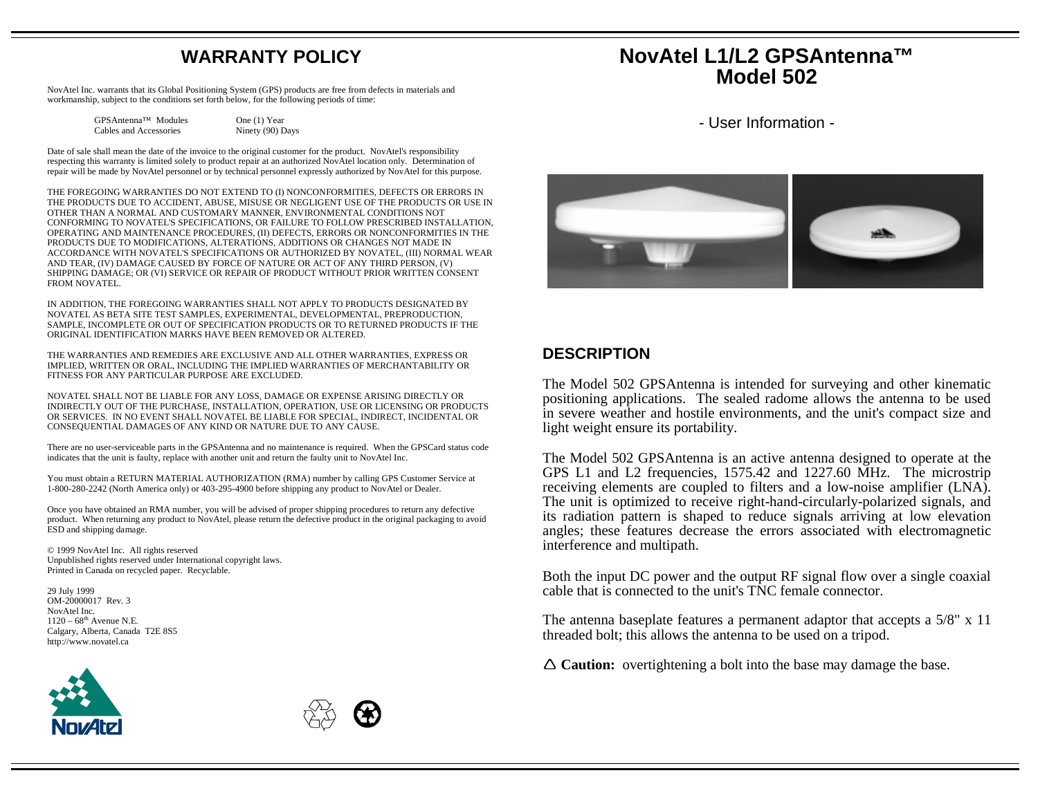# **WARRANTY POLICY**

NovAtel Inc. warrants that its Global Positioning System (GPS) products are free from defects in materials and workmanship, subject to the conditions set forth below, for the following periods of time:

> GPSAntenna™ Modules One (1) Year Cables and Accessories Ninety (90) Days

Date of sale shall mean the date of the invoice to the original customer for the product. NovAtel's responsibility respecting this warranty is limited solely to product repair at an authorized NovAtel location only. Determination of repair will be made by NovAtel personnel or by technical personnel expressly authorized by NovAtel for this purpose.

THE FOREGOING WARRANTIES DO NOT EXTEND TO (I) NONCONFORMITIES, DEFECTS OR ERRORS IN THE PRODUCTS DUE TO ACCIDENT, ABUSE, MISUSE OR NEGLIGENT USE OF THE PRODUCTS OR USE IN OTHER THAN A NORMAL AND CUSTOMARY MANNER, ENVIRONMENTAL CONDITIONS NOT CONFORMING TO NOVATEL'S SPECIFICATIONS, OR FAILURE TO FOLLOW PRESCRIBED INSTALLATION, OPERATING AND MAINTENANCE PROCEDURES, (II) DEFECTS, ERRORS OR NONCONFORMITIES IN THE PRODUCTS DUE TO MODIFICATIONS, ALTERATIONS, ADDITIONS OR CHANGES NOT MADE IN ACCORDANCE WITH NOVATEL'S SPECIFICATIONS OR AUTHORIZED BY NOVATEL, (III) NORMAL WEAR AND TEAR, (IV) DAMAGE CAUSED BY FORCE OF NATURE OR ACT OF ANY THIRD PERSON, (V) SHIPPING DAMAGE; OR (VI) SERVICE OR REPAIR OF PRODUCT WITHOUT PRIOR WRITTEN CONSENT FROM NOVATEL.

IN ADDITION, THE FOREGOING WARRANTIES SHALL NOT APPLY TO PRODUCTS DESIGNATED BY NOVATEL AS BETA SITE TEST SAMPLES, EXPERIMENTAL, DEVELOPMENTAL, PREPRODUCTION, SAMPLE, INCOMPLETE OR OUT OF SPECIFICATION PRODUCTS OR TO RETURNED PRODUCTS IF THE ORIGINAL IDENTIFICATION MARKS HAVE BEEN REMOVED OR ALTERED.

THE WARRANTIES AND REMEDIES ARE EXCLUSIVE AND ALL OTHER WARRANTIES, EXPRESS OR IMPLIED, WRITTEN OR ORAL, INCLUDING THE IMPLIED WARRANTIES OF MERCHANTABILITY OR FITNESS FOR ANY PARTICULAR PURPOSE ARE EXCLUDED.

NOVATEL SHALL NOT BE LIABLE FOR ANY LOSS, DAMAGE OR EXPENSE ARISING DIRECTLY OR INDIRECTLY OUT OF THE PURCHASE, INSTALLATION, OPERATION, USE OR LICENSING OR PRODUCTS OR SERVICES. IN NO EVENT SHALL NOVATEL BE LIABLE FOR SPECIAL, INDIRECT, INCIDENTAL OR CONSEQUENTIAL DAMAGES OF ANY KIND OR NATURE DUE TO ANY CAUSE.

There are no user-serviceable parts in the GPSAntenna and no maintenance is required. When the GPSCard status code indicates that the unit is faulty, replace with another unit and return the faulty unit to NovAtel Inc.

You must obtain <sup>a</sup> RETURN MATERIAL AUTHORIZATION (RMA) number by calling GPS Customer Service at 1-800-280-2242 (North America only) or 403-295-4900 before shipping any product to NovAtel or Dealer.

Once you have obtained an RMA number, you will be advised of proper shipping procedures to return any defective product. When returning any product to NovAtel, please return the defective product in the original packaging to avoid ESD and shipping damage.

© 1999 NovAtel Inc. All rights reserved Unpublished rights reserved under International copyright laws. Printed in Canada on recycled paper. Recyclable.

29 July 1999 OM-20000017 Rev. 3 NovAtel Inc.  $1120 - 68$ <sup>th</sup> Avenue N.E. Calgary, Alberta, Canada T2E 8S5 http://www.novatel.ca





# **NovAtel L1/L2 GPSAntenna™ Model 502**

- User Information -



### **DESCRIPTION**

The Model 502 GPSAntenna is intended for surveying and other kinematic positioning applications. The sealed radome allows the antenna to be used in severe weather and hostile environments, and the unit's compac<sup>t</sup> size and light weight ensure its portability.

The Model 502 GPSAntenna is an active antenna designed to operate at the GPS L1 and L2 frequencies, 1575.42 and 1227.60 MHz. The microstrip receiving elements are coupled to filters and <sup>a</sup> low-noise amplifier (LNA). The unit is optimized to receive right-hand-circularly-polarized signals, and its radiation pattern is shaped to reduce signals arriving at low elevation angles; these features decrease the errors associated with electromagnetic interference and multipath.

Both the input DC power and the output RF signal flow over <sup>a</sup> single coaxial cable that is connected to the unit's TNC female connector.

The antenna baseplate features <sup>a</sup> permanen<sup>t</sup> adaptor that accepts <sup>a</sup> 5/8" <sup>x</sup> 11 threaded bolt; this allows the antenna to be used on <sup>a</sup> tripod.

**Caution:** overtightening <sup>a</sup> bolt into the base may damage the base.